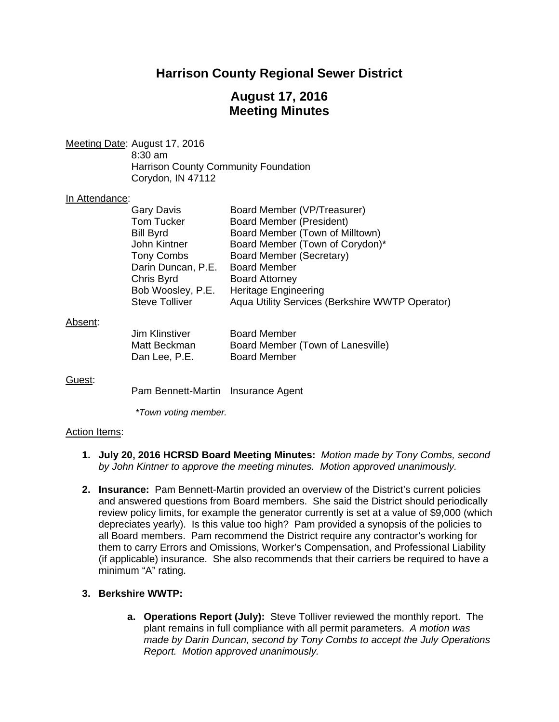# **Harrison County Regional Sewer District**

# **August 17, 2016 Meeting Minutes**

Meeting Date: August 17, 2016 8:30 am Harrison County Community Foundation Corydon, IN 47112

#### In Attendance:

| <b>Gary Davis</b>     | Board Member (VP/Treasurer)                     |
|-----------------------|-------------------------------------------------|
| <b>Tom Tucker</b>     | <b>Board Member (President)</b>                 |
| <b>Bill Byrd</b>      | Board Member (Town of Milltown)                 |
| John Kintner          | Board Member (Town of Corydon)*                 |
| <b>Tony Combs</b>     | Board Member (Secretary)                        |
| Darin Duncan, P.E.    | <b>Board Member</b>                             |
| Chris Byrd            | <b>Board Attorney</b>                           |
| Bob Woosley, P.E.     | <b>Heritage Engineering</b>                     |
| <b>Steve Tolliver</b> | Aqua Utility Services (Berkshire WWTP Operator) |
|                       |                                                 |

#### Absent:

| Jim Klinstiver | <b>Board Member</b>               |
|----------------|-----------------------------------|
| Matt Beckman   | Board Member (Town of Lanesville) |
| Dan Lee, P.E.  | <b>Board Member</b>               |

#### Guest:

Pam Bennett-Martin Insurance Agent

*\*Town voting member.* 

#### Action Items:

- **1. July 20, 2016 HCRSD Board Meeting Minutes:** *Motion made by Tony Combs, second by John Kintner to approve the meeting minutes. Motion approved unanimously.*
- **2. Insurance:** Pam Bennett-Martin provided an overview of the District's current policies and answered questions from Board members. She said the District should periodically review policy limits, for example the generator currently is set at a value of \$9,000 (which depreciates yearly). Is this value too high? Pam provided a synopsis of the policies to all Board members. Pam recommend the District require any contractor's working for them to carry Errors and Omissions, Worker's Compensation, and Professional Liability (if applicable) insurance. She also recommends that their carriers be required to have a minimum "A" rating.

## **3. Berkshire WWTP:**

**a. Operations Report (July):** Steve Tolliver reviewed the monthly report. The plant remains in full compliance with all permit parameters. *A motion was made by Darin Duncan, second by Tony Combs to accept the July Operations Report. Motion approved unanimously.*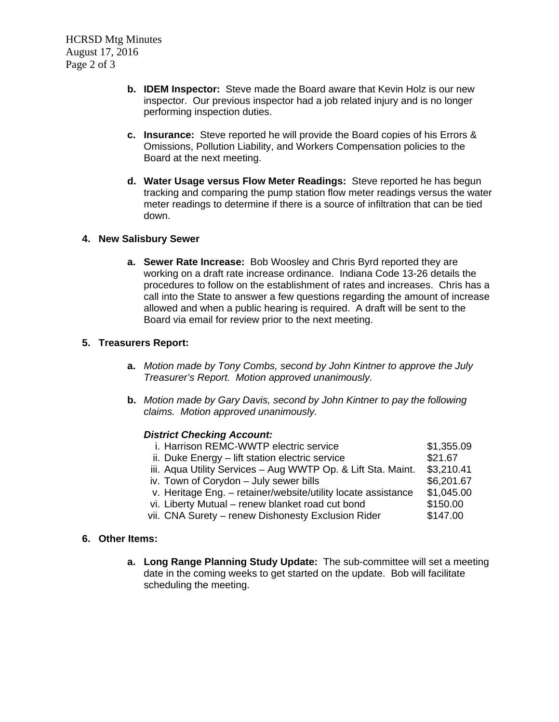- **b. IDEM Inspector:** Steve made the Board aware that Kevin Holz is our new inspector. Our previous inspector had a job related injury and is no longer performing inspection duties.
- **c. Insurance:** Steve reported he will provide the Board copies of his Errors & Omissions, Pollution Liability, and Workers Compensation policies to the Board at the next meeting.
- **d. Water Usage versus Flow Meter Readings:** Steve reported he has begun tracking and comparing the pump station flow meter readings versus the water meter readings to determine if there is a source of infiltration that can be tied down.

## **4. New Salisbury Sewer**

**a. Sewer Rate Increase:** Bob Woosley and Chris Byrd reported they are working on a draft rate increase ordinance. Indiana Code 13-26 details the procedures to follow on the establishment of rates and increases. Chris has a call into the State to answer a few questions regarding the amount of increase allowed and when a public hearing is required. A draft will be sent to the Board via email for review prior to the next meeting.

#### **5. Treasurers Report:**

- **a.** *Motion made by Tony Combs, second by John Kintner to approve the July Treasurer's Report. Motion approved unanimously.*
- **b.** *Motion made by Gary Davis, second by John Kintner to pay the following claims. Motion approved unanimously.*

## *District Checking Account:*

| i. Harrison REMC-WWTP electric service                        | \$1,355.09 |
|---------------------------------------------------------------|------------|
| ii. Duke Energy – lift station electric service               | \$21.67    |
| iii. Aqua Utility Services - Aug WWTP Op. & Lift Sta. Maint.  | \$3,210.41 |
| iv. Town of Corydon - July sewer bills                        | \$6,201.67 |
| v. Heritage Eng. - retainer/website/utility locate assistance | \$1,045.00 |
| vi. Liberty Mutual - renew blanket road cut bond              | \$150.00   |
| vii. CNA Surety - renew Dishonesty Exclusion Rider            | \$147.00   |
|                                                               |            |

## **6. Other Items:**

**a. Long Range Planning Study Update:** The sub-committee will set a meeting date in the coming weeks to get started on the update. Bob will facilitate scheduling the meeting.